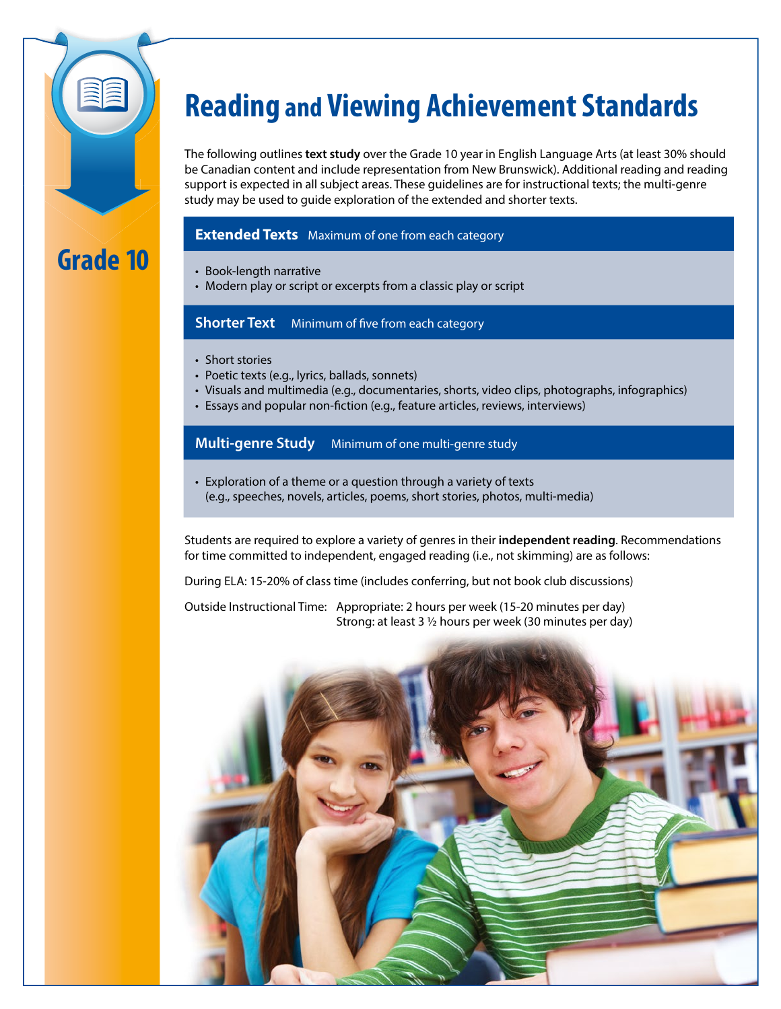

# **Reading and Viewing Achievement Standards**

The following outlines **text study** over the Grade 10 year in English Language Arts (at least 30% should be Canadian content and include representation from New Brunswick). Additional reading and reading support is expected in all subject areas. These guidelines are for instructional texts; the multi-genre study may be used to guide exploration of the extended and shorter texts.

### **Extended Texts** Maximum of one from each category

- Book-length narrative
- Modern play or script or excerpts from a classic play or script

### **Shorter Text** Minimum of five from each category

- Short stories
- Poetic texts (e.g., lyrics, ballads, sonnets)
- • Visuals and multimedia (e.g., documentaries, shorts, video clips, photographs, infographics)
- Essays and popular non-fiction (e.g., feature articles, reviews, interviews)

#### **Multi-genre Study** Minimum of one multi-genre study

• Exploration of a theme or a question through a variety of texts (e.g., speeches, novels, articles, poems, short stories, photos, multi-media)

Students are required to explore a variety of genres in their **independent reading**. Recommendations for time committed to independent, engaged reading (i.e., not skimming) are as follows:

During ELA: 15-20% of class time (includes conferring, but not book club discussions)

Outside Instructional Time: Appropriate: 2 hours per week (15-20 minutes per day) Strong: at least 3 ½ hours per week (30 minutes per day)

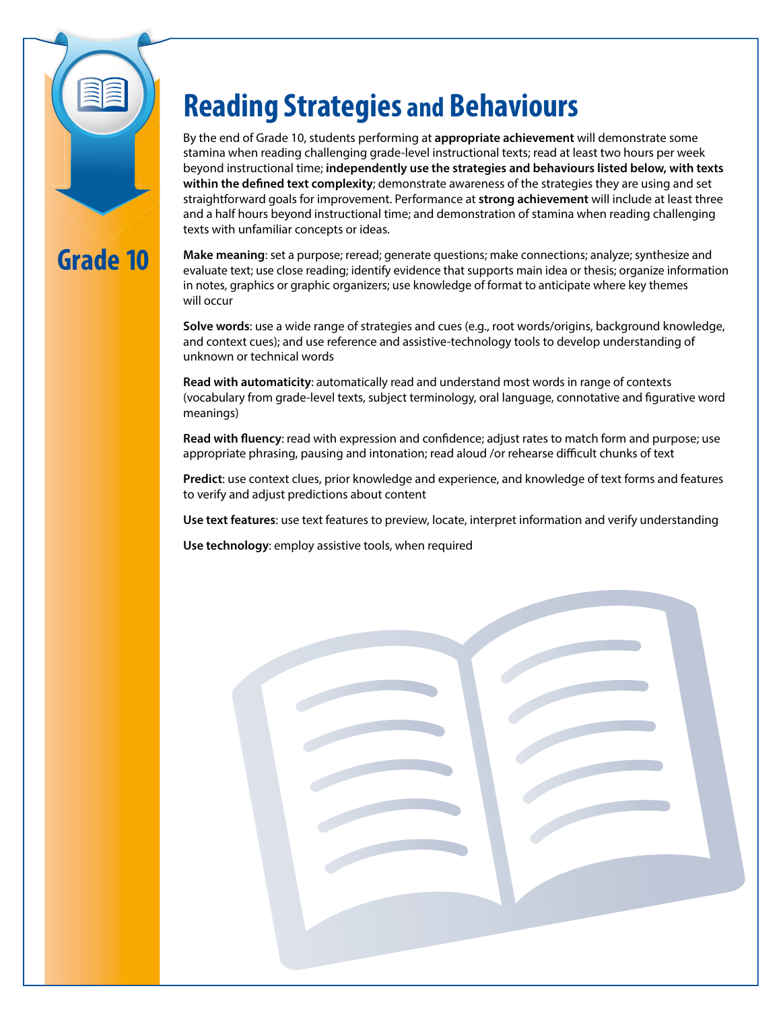

# **Reading Strategies and Behaviours**

By the end of Grade 10, students performing at **appropriate achievement** will demonstrate some stamina when reading challenging grade-level instructional texts; read at least two hours per week beyond instructional time; **independently use the strategies and behaviours listed below, with texts within the defined text complexity**; demonstrate awareness of the strategies they are using and set straightforward goals for improvement. Performance at **strong achievement** will include at least three and a half hours beyond instructional time; and demonstration of stamina when reading challenging texts with unfamiliar concepts or ideas.

**Make meaning**: set a purpose; reread; generate questions; make connections; analyze; synthesize and evaluate text; use close reading; identify evidence that supports main idea or thesis; organize information in notes, graphics or graphic organizers; use knowledge of format to anticipate where key themes will occur

**Solve words**: use a wide range of strategies and cues (e.g., root words/origins, background knowledge, and context cues); and use reference and assistive-technology tools to develop understanding of unknown or technical words

**Read with automaticity**: automatically read and understand most words in range of contexts (vocabulary from grade-level texts, subject terminology, oral language, connotative and figurative word meanings)

**Read with fluency**: read with expression and confidence; adjust rates to match form and purpose; use appropriate phrasing, pausing and intonation; read aloud /or rehearse difficult chunks of text

**Predict**: use context clues, prior knowledge and experience, and knowledge of text forms and features to verify and adjust predictions about content

**Use text features**: use text features to preview, locate, interpret information and verify understanding

**Use technology**: employ assistive tools, when required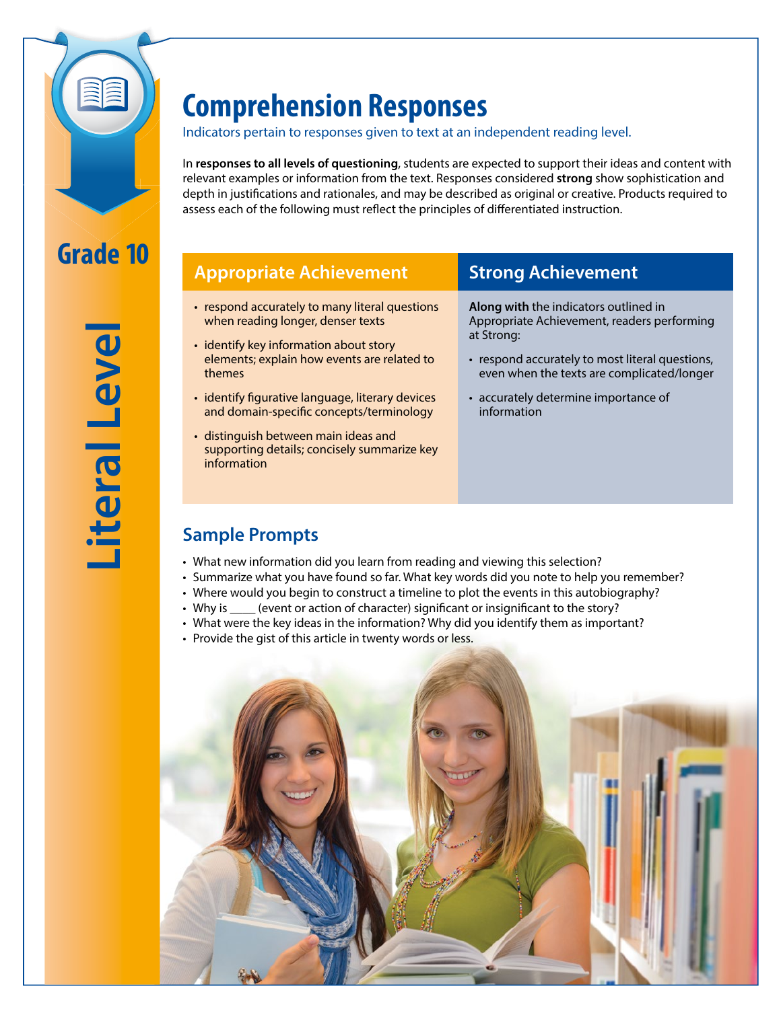

# **Comprehension Responses**

Indicators pertain to responses given to text at an independent reading level.

In **responses to all levels of questioning**, students are expected to support their ideas and content with relevant examples or information from the text. Responses considered **strong** show sophistication and depth in justifications and rationales, and may be described as original or creative. Products required to assess each of the following must reflect the principles of differentiated instruction.

#### **Appropriate Achievement Strong Achievement** • respond accurately to many literal questions when reading longer, denser texts • identify key information about story elements; explain how events are related to themes • identify figurative language, literary devices and domain-specific concepts/terminology • distinguish between main ideas and supporting details; concisely summarize key information **Along with** the indicators outlined in Appropriate Achievement, readers performing at Strong: • respond accurately to most literal questions, even when the texts are complicated/longer • accurately determine importance of information

# **Sample Prompts**

- What new information did you learn from reading and viewing this selection?
- Summarize what you have found so far. What key words did you note to help you remember?
- Where would you begin to construct a timeline to plot the events in this autobiography?
- Why is \_\_\_\_\_ (event or action of character) significant or insignificant to the story?
- What were the key ideas in the information? Why did you identify them as important?
- Provide the gist of this article in twenty words or less.

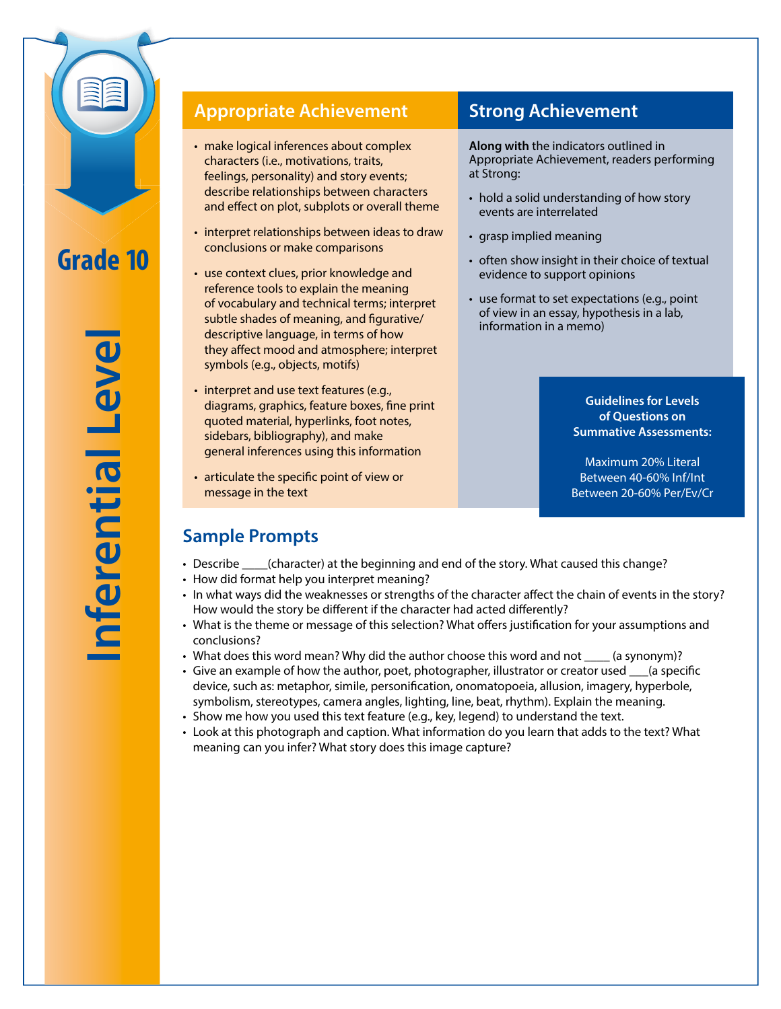

 **Inferential Level** nferential Leve

## **Appropriate Achievement Strong Achievement**

- make logical inferences about complex characters (i.e., motivations, traits, feelings, personality) and story events; describe relationships between characters and effect on plot, subplots or overall theme
- interpret relationships between ideas to draw conclusions or make comparisons
- use context clues, prior knowledge and reference tools to explain the meaning of vocabulary and technical terms; interpret subtle shades of meaning, and figurative/ descriptive language, in terms of how they affect mood and atmosphere; interpret symbols (e.g., objects, motifs)
- interpret and use text features (e.g., diagrams, graphics, feature boxes, fine print quoted material, hyperlinks, foot notes, sidebars, bibliography), and make general inferences using this information
- articulate the specific point of view or message in the text

## **Sample Prompts**

**Along with** the indicators outlined in Appropriate Achievement, readers performing at Strong:

- hold a solid understanding of how story events are interrelated
- grasp implied meaning
- often show insight in their choice of textual evidence to support opinions
- use format to set expectations (e.g., point of view in an essay, hypothesis in a lab, information in a memo)

#### **Guidelines for Levels of Questions on Summative Assessments:**

Maximum 20% Literal Between 40-60% Inf/Int Between 20-60% Per/Ev/Cr

- Describe \_\_\_\_(character) at the beginning and end of the story. What caused this change?
- How did format help you interpret meaning?
- In what ways did the weaknesses or strengths of the character affect the chain of events in the story? How would the story be different if the character had acted differently?
- What is the theme or message of this selection? What offers justification for your assumptions and conclusions?
- What does this word mean? Why did the author choose this word and not \_\_\_\_ (a synonym)?
- Give an example of how the author, poet, photographer, illustrator or creator used \_\_\_(a specific device, such as: metaphor, simile, personification, onomatopoeia, allusion, imagery, hyperbole, symbolism, stereotypes, camera angles, lighting, line, beat, rhythm). Explain the meaning.
- Show me how you used this text feature (e.g., key, legend) to understand the text.
- Look at this photograph and caption. What information do you learn that adds to the text? What meaning can you infer? What story does this image capture?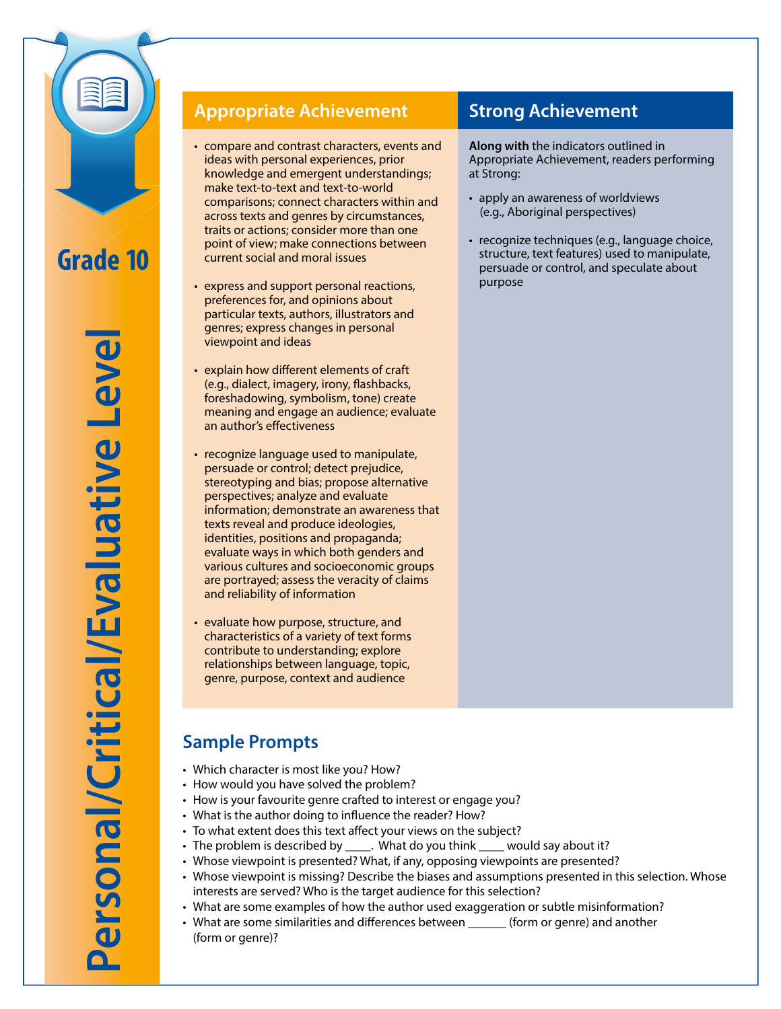

**Personal/Critical/Evaluative Level** Personal/Critical/Evaluative Level

## **Appropriate Achievement Strong Achievement**

- • compare and contrast characters, events and ideas with personal experiences, prior knowledge and emergent understandings; make text-to-text and text-to-world comparisons; connect characters within and across texts and genres by circumstances, traits or actions; consider more than one point of view; make connections between current social and moral issues
- express and support personal reactions, preferences for, and opinions about particular texts, authors, illustrators and genres; express changes in personal viewpoint and ideas
- explain how different elements of craft (e.g., dialect, imagery, irony, flashbacks, foreshadowing, symbolism, tone) create meaning and engage an audience; evaluate an author's effectiveness
- recognize language used to manipulate, persuade or control; detect prejudice, stereotyping and bias; propose alternative perspectives; analyze and evaluate information; demonstrate an awareness that texts reveal and produce ideologies, identities, positions and propaganda; evaluate ways in which both genders and various cultures and socioeconomic groups are portrayed; assess the veracity of claims and reliability of information
- evaluate how purpose, structure, and characteristics of a variety of text forms contribute to understanding; explore relationships between language, topic, genre, purpose, context and audience

## **Sample Prompts**

- Which character is most like you? How?
- How would you have solved the problem?
- How is your favourite genre crafted to interest or engage you?
- What is the author doing to influence the reader? How?
- To what extent does this text affect your views on the subject?
- The problem is described by \_\_\_\_\_. What do you think \_\_\_\_ would say about it?
- Whose viewpoint is presented? What, if any, opposing viewpoints are presented?
- Whose viewpoint is missing? Describe the biases and assumptions presented in this selection. Whose interests are served? Who is the target audience for this selection?
- What are some examples of how the author used exaggeration or subtle misinformation?
- What are some similarities and differences between \_\_\_\_\_\_\_ (form or genre) and another (form or genre)?

**Along with** the indicators outlined in Appropriate Achievement, readers performing at Strong:

- apply an awareness of worldviews (e.g., Aboriginal perspectives)
- recognize techniques (e.g., language choice, structure, text features) used to manipulate, persuade or control, and speculate about purpose